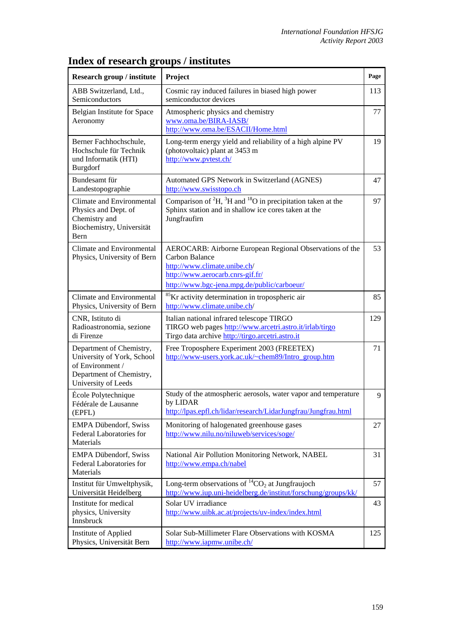| Research group / institute                                                                                                    | Project                                                                                                                                                                                       | Page |
|-------------------------------------------------------------------------------------------------------------------------------|-----------------------------------------------------------------------------------------------------------------------------------------------------------------------------------------------|------|
| ABB Switzerland, Ltd.,<br>Semiconductors                                                                                      | Cosmic ray induced failures in biased high power<br>semiconductor devices                                                                                                                     | 113  |
| Belgian Institute for Space<br>Aeronomy                                                                                       | Atmospheric physics and chemistry<br>www.oma.be/BIRA-IASB/<br>http://www.oma.be/ESACII/Home.html                                                                                              | 77   |
| Berner Fachhochschule,<br>Hochschule für Technik<br>und Informatik (HTI)<br><b>Burgdorf</b>                                   | Long-term energy yield and reliability of a high alpine PV<br>(photovoltaic) plant at 3453 m<br>http://www.pvtest.ch/                                                                         | 19   |
| Bundesamt für<br>Landestopographie                                                                                            | Automated GPS Network in Switzerland (AGNES)<br>http://www.swisstopo.ch                                                                                                                       | 47   |
| Climate and Environmental<br>Physics and Dept. of<br>Chemistry and<br>Biochemistry, Universität<br>Bern                       | Comparison of ${}^{2}H$ , ${}^{3}H$ and ${}^{18}O$ in precipitation taken at the<br>Sphinx station and in shallow ice cores taken at the<br>Jungfraufirn                                      | 97   |
| Climate and Environmental<br>Physics, University of Bern                                                                      | AEROCARB: Airborne European Regional Observations of the<br>Carbon Balance<br>http://www.climate.unibe.ch/<br>http://www.aerocarb.cnrs-gif.fr/<br>http://www.bgc-jena.mpg.de/public/carboeur/ | 53   |
| <b>Climate and Environmental</b><br>Physics, University of Bern                                                               | <sup>85</sup> Kr activity determination in tropospheric air<br>http://www.climate.unibe.ch/                                                                                                   | 85   |
| CNR, Istituto di<br>Radioastronomia, sezione<br>di Firenze                                                                    | Italian national infrared telescope TIRGO<br>TIRGO web pages http://www.arcetri.astro.it/irlab/tirgo<br>Tirgo data archive http://tirgo.arcetri.astro.it                                      | 129  |
| Department of Chemistry,<br>University of York, School<br>of Environment /<br>Department of Chemistry,<br>University of Leeds | Free Troposphere Experiment 2003 (FREETEX)<br>http://www-users.york.ac.uk/~chem89/Intro_group.htm                                                                                             | 71   |
| École Polytechnique<br>Fédérale de Lausanne<br>(EPFL)                                                                         | Study of the atmospheric aerosols, water vapor and temperature<br>by LIDAR<br>http://lpas.epfl.ch/lidar/research/LidarJungfrau/Jungfrau.html                                                  | 9    |
| <b>EMPA Dübendorf, Swiss</b><br>Federal Laboratories for<br>Materials                                                         | Monitoring of halogenated greenhouse gases<br>http://www.nilu.no/niluweb/services/soge/                                                                                                       | 27   |
| <b>EMPA Dübendorf, Swiss</b><br>Federal Laboratories for<br>Materials                                                         | National Air Pollution Monitoring Network, NABEL<br>http://www.empa.ch/nabel                                                                                                                  | 31   |
| Institut für Umweltphysik,<br>Universität Heidelberg                                                                          | Long-term observations of ${}^{14}CO_2$ at Jungfraujoch<br>http://www.iup.uni-heidelberg.de/institut/forschung/groups/kk/                                                                     | 57   |
| Institute for medical<br>physics, University<br>Innsbruck                                                                     | Solar UV irradiance<br>http://www.uibk.ac.at/projects/uv-index/index.html                                                                                                                     | 43   |
| Institute of Applied<br>Physics, Universität Bern                                                                             | Solar Sub-Millimeter Flare Observations with KOSMA<br>http://www.iapmw.unibe.ch/                                                                                                              | 125  |

## **Index of research groups / institutes**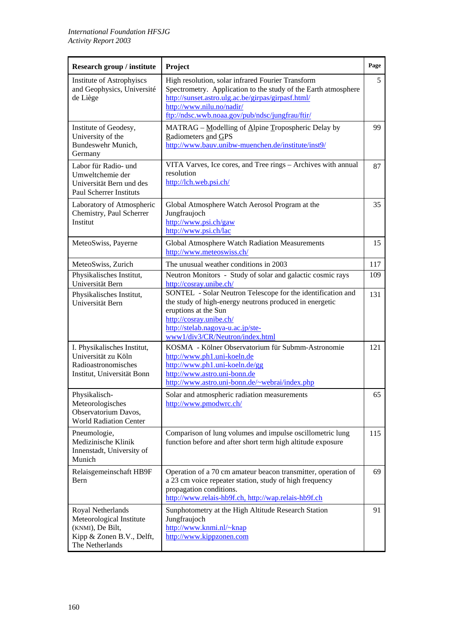| Research group / institute                                                                                        | Project                                                                                                                                                                                                                                           | Page |
|-------------------------------------------------------------------------------------------------------------------|---------------------------------------------------------------------------------------------------------------------------------------------------------------------------------------------------------------------------------------------------|------|
| Institute of Astrophyiscs<br>and Geophysics, Université<br>de Liège                                               | High resolution, solar infrared Fourier Transform<br>Spectrometry. Application to the study of the Earth atmosphere<br>http://sunset.astro.ulg.ac.be/girpas/girpasf.html/<br>http://www.nilu.no/nadir/                                            | 5    |
|                                                                                                                   | ftp://ndsc.wwb.noaa.gov/pub/ndsc/jungfrau/ftir/                                                                                                                                                                                                   |      |
| Institute of Geodesy,<br>University of the<br>Bundeswehr Munich,<br>Germany                                       | MATRAG – Modelling of Alpine Tropospheric Delay by<br>Radiometers and GPS<br>http://www.bauv.unibw-muenchen.de/institute/inst9/                                                                                                                   | 99   |
| Labor für Radio- und<br>Umweltchemie der<br>Universität Bern und des<br><b>Paul Scherrer Instituts</b>            | VITA Varves, Ice cores, and Tree rings - Archives with annual<br>resolution<br>http://lch.web.psi.ch/                                                                                                                                             | 87   |
| Laboratory of Atmospheric<br>Chemistry, Paul Scherrer<br>Institut                                                 | Global Atmosphere Watch Aerosol Program at the<br>Jungfraujoch<br>http://www.psi.ch/gaw<br>http://www.psi.ch/lac                                                                                                                                  | 35   |
| MeteoSwiss, Payerne                                                                                               | Global Atmosphere Watch Radiation Measurements<br>http://www.meteoswiss.ch/                                                                                                                                                                       | 15   |
| MeteoSwiss, Zurich                                                                                                | The unusual weather conditions in 2003                                                                                                                                                                                                            | 117  |
| Physikalisches Institut,<br>Universität Bern                                                                      | Neutron Monitors - Study of solar and galactic cosmic rays<br>http://cosray.unibe.ch/                                                                                                                                                             | 109  |
| Physikalisches Institut,<br>Universität Bern                                                                      | SONTEL - Solar Neutron Telescope for the identification and<br>the study of high-energy neutrons produced in energetic<br>eruptions at the Sun<br>http://cosray.unibe.ch/<br>http://stelab.nagoya-u.ac.jp/ste-<br>www1/div3/CR/Neutron/index.html | 131  |
| I. Physikalisches Institut,<br>Universität zu Köln<br>Radioastronomisches<br>Institut, Universität Bonn           | KOSMA - Kölner Observatorium für Submm-Astronomie<br>http://www.ph1.uni-koeln.de<br>http://www.ph1.uni-koeln.de/gg<br>http://www.astro.uni-bonn.de<br>http://www.astro.uni-bonn.de/~webrai/index.php                                              | 121  |
| Physikalisch-<br>Meteorologisches<br>Observatorium Davos,<br><b>World Radiation Center</b>                        | Solar and atmospheric radiation measurements<br>http://www.pmodwrc.ch/                                                                                                                                                                            | 65   |
| Pneumologie,<br>Medizinische Klinik<br>Innenstadt, University of<br>Munich                                        | Comparison of lung volumes and impulse oscillometric lung<br>function before and after short term high altitude exposure                                                                                                                          | 115  |
| Relaisgemeinschaft HB9F<br>Bern                                                                                   | Operation of a 70 cm amateur beacon transmitter, operation of<br>a 23 cm voice repeater station, study of high frequency<br>propagation conditions.<br>http://www.relais-hb9f.ch, http://wap.relais-hb9f.ch                                       | 69   |
| Royal Netherlands<br>Meteorological Institute<br>(KNMI), De Bilt,<br>Kipp & Zonen B.V., Delft,<br>The Netherlands | Sunphotometry at the High Altitude Research Station<br>Jungfraujoch<br>http://www.knmi.nl/~knap<br>http://www.kippzonen.com                                                                                                                       | 91   |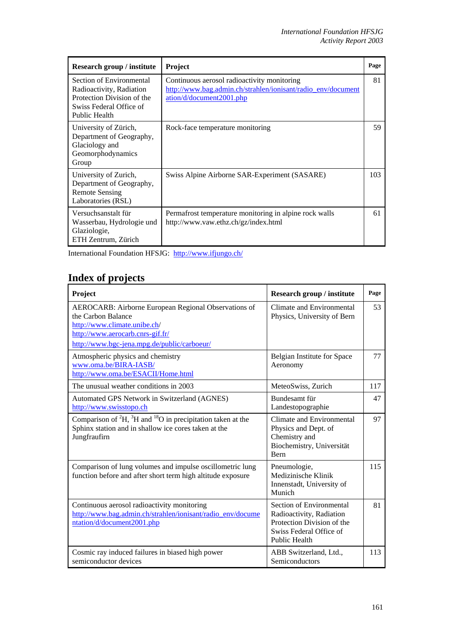| Research group / institute                                                                                                            | <b>Project</b>                                                                                                                          | Page |
|---------------------------------------------------------------------------------------------------------------------------------------|-----------------------------------------------------------------------------------------------------------------------------------------|------|
| Section of Environmental<br>Radioactivity, Radiation<br>Protection Division of the<br>Swiss Federal Office of<br><b>Public Health</b> | Continuous aerosol radioactivity monitoring<br>http://www.bag.admin.ch/strahlen/ionisant/radio_env/document<br>ation/d/document2001.php | 81   |
| University of Zürich,<br>Department of Geography,<br>Glaciology and<br>Geomorphodynamics<br>Group                                     | Rock-face temperature monitoring                                                                                                        | 59   |
| University of Zurich,<br>Department of Geography,<br><b>Remote Sensing</b><br>Laboratories (RSL)                                      | Swiss Alpine Airborne SAR-Experiment (SASARE)                                                                                           | 103  |
| Versuchsanstalt für<br>Wasserbau, Hydrologie und<br>Glaziologie,<br>ETH Zentrum, Zürich                                               | Permafrost temperature monitoring in alpine rock walls<br>http://www.vaw.ethz.ch/gz/index.html                                          | 61   |

International Foundation HFSJG: <http://www.ifjungo.ch/>

## **Index of projects**

| Project                                                                                                                                                                                       | <b>Research group / institute</b>                                                                                                     | Page |
|-----------------------------------------------------------------------------------------------------------------------------------------------------------------------------------------------|---------------------------------------------------------------------------------------------------------------------------------------|------|
| AEROCARB: Airborne European Regional Observations of<br>the Carbon Balance<br>http://www.climate.unibe.ch/<br>http://www.aerocarb.cnrs-gif.fr/<br>http://www.bgc-jena.mpg.de/public/carboeur/ | Climate and Environmental<br>Physics, University of Bern                                                                              | 53   |
| Atmospheric physics and chemistry<br>www.oma.be/BIRA-IASB/<br>http://www.oma.be/ESACII/Home.html                                                                                              | Belgian Institute for Space<br>Aeronomy                                                                                               | 77   |
| The unusual weather conditions in 2003                                                                                                                                                        | MeteoSwiss, Zurich                                                                                                                    | 117  |
| Automated GPS Network in Switzerland (AGNES)<br>http://www.swisstopo.ch                                                                                                                       | Bundesamt für<br>Landestopographie                                                                                                    | 47   |
| Comparison of ${}^{2}H$ , ${}^{3}H$ and ${}^{18}O$ in precipitation taken at the<br>Sphinx station and in shallow ice cores taken at the<br>Jungfraufirn                                      | Climate and Environmental<br>Physics and Dept. of<br>Chemistry and<br>Biochemistry, Universität<br><b>Bern</b>                        | 97   |
| Comparison of lung volumes and impulse oscillometric lung<br>function before and after short term high altitude exposure                                                                      | Pneumologie,<br>Medizinische Klinik<br>Innenstadt, University of<br>Munich                                                            | 115  |
| Continuous aerosol radioactivity monitoring<br>http://www.bag.admin.ch/strahlen/ionisant/radio_env/docume<br>ntation/d/document2001.php                                                       | Section of Environmental<br>Radioactivity, Radiation<br>Protection Division of the<br>Swiss Federal Office of<br><b>Public Health</b> | 81   |
| Cosmic ray induced failures in biased high power<br>semiconductor devices                                                                                                                     | ABB Switzerland, Ltd.,<br>Semiconductors                                                                                              | 113  |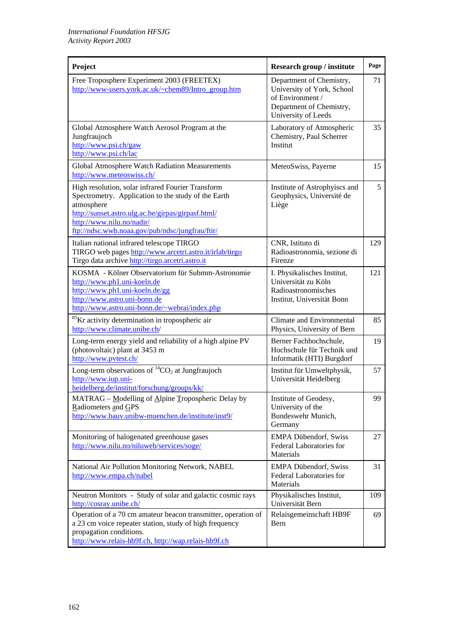| Project                                                                                                                                                                                                                                                      | <b>Research group / institute</b>                                                                                             | Page |
|--------------------------------------------------------------------------------------------------------------------------------------------------------------------------------------------------------------------------------------------------------------|-------------------------------------------------------------------------------------------------------------------------------|------|
| Free Troposphere Experiment 2003 (FREETEX)<br>http://www-users.york.ac.uk/~chem89/Intro_group.htm                                                                                                                                                            | Department of Chemistry,<br>University of York, School<br>of Environment /<br>Department of Chemistry,<br>University of Leeds | 71   |
| Global Atmosphere Watch Aerosol Program at the<br>Jungfraujoch<br>http://www.psi.ch/gaw<br>http://www.psi.ch/lac                                                                                                                                             | Laboratory of Atmospheric<br>Chemistry, Paul Scherrer<br>Institut                                                             | 35   |
| Global Atmosphere Watch Radiation Measurements<br>http://www.meteoswiss.ch/                                                                                                                                                                                  | MeteoSwiss, Payerne                                                                                                           | 15   |
| High resolution, solar infrared Fourier Transform<br>Spectrometry. Application to the study of the Earth<br>atmosphere<br>http://sunset.astro.ulg.ac.be/girpas/girpasf.html/<br>http://www.nilu.no/nadir/<br>ftp://ndsc.wwb.noaa.gov/pub/ndsc/jungfrau/ftir/ | Institute of Astrophyiscs and<br>Geophysics, Université de<br>Liège                                                           | 5    |
| Italian national infrared telescope TIRGO<br>TIRGO web pages http://www.arcetri.astro.it/irlab/tirgo<br>Tirgo data archive http://tirgo.arcetri.astro.it                                                                                                     | CNR, Istituto di<br>Radioastronomia, sezione di<br>Firenze                                                                    | 129  |
| KOSMA - Kölner Observatorium für Submm-Astronomie<br>http://www.ph1.uni-koeln.de<br>http://www.ph1.uni-koeln.de/gg<br>http://www.astro.uni-bonn.de<br>http://www.astro.uni-bonn.de/~webrai/index.php                                                         | I. Physikalisches Institut,<br>Universität zu Köln<br>Radioastronomisches<br>Institut, Universität Bonn                       | 121  |
| <sup>85</sup> Kr activity determination in tropospheric air<br>http://www.climate.unibe.ch/                                                                                                                                                                  | Climate and Environmental<br>Physics, University of Bern                                                                      | 85   |
| Long-term energy yield and reliability of a high alpine PV<br>(photovoltaic) plant at 3453 m<br>http://www.pvtest.ch/                                                                                                                                        | Berner Fachhochschule.<br>Hochschule für Technik und<br>Informatik (HTI) Burgdorf                                             | 19   |
| Long-term observations of ${}^{14}CO_2$ at Jungfraujoch<br>http://www.iup.uni-<br>heidelberg.de/institut/forschung/groups/kk/                                                                                                                                | Institut für Umweltphysik,<br>Universität Heidelberg                                                                          | 57   |
| MATRAG - Modelling of Alpine Tropospheric Delay by<br>Radiometers and GPS<br>http://www.bauv.unibw-muenchen.de/institute/inst9/                                                                                                                              | Institute of Geodesy,<br>University of the<br>Bundeswehr Munich,<br>Germany                                                   | 99   |
| Monitoring of halogenated greenhouse gases<br>http://www.nilu.no/niluweb/services/soge/                                                                                                                                                                      | <b>EMPA Dübendorf, Swiss</b><br>Federal Laboratories for<br>Materials                                                         | 27   |
| National Air Pollution Monitoring Network, NABEL<br>http://www.empa.ch/nabel                                                                                                                                                                                 | <b>EMPA Dübendorf, Swiss</b><br>Federal Laboratories for<br>Materials                                                         | 31   |
| Neutron Monitors - Study of solar and galactic cosmic rays<br>http://cosray.unibe.ch/                                                                                                                                                                        | Physikalisches Institut,<br>Universität Bern                                                                                  | 109  |
| Operation of a 70 cm amateur beacon transmitter, operation of<br>a 23 cm voice repeater station, study of high frequency<br>propagation conditions.<br>http://www.relais-hb9f.ch, http://wap.relais-hb9f.ch                                                  | Relaisgemeinschaft HB9F<br>Bern                                                                                               | 69   |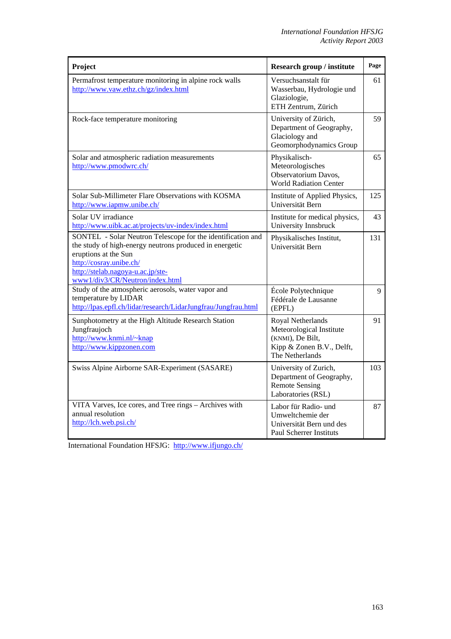| Project                                                                                                                                                                                                                                           | <b>Research group / institute</b>                                                                                 | Page |
|---------------------------------------------------------------------------------------------------------------------------------------------------------------------------------------------------------------------------------------------------|-------------------------------------------------------------------------------------------------------------------|------|
| Permafrost temperature monitoring in alpine rock walls<br>http://www.vaw.ethz.ch/gz/index.html                                                                                                                                                    | Versuchsanstalt für<br>Wasserbau, Hydrologie und<br>Glaziologie,<br>ETH Zentrum, Zürich                           | 61   |
| Rock-face temperature monitoring                                                                                                                                                                                                                  | University of Zürich,<br>Department of Geography,<br>Glaciology and<br>Geomorphodynamics Group                    | 59   |
| Solar and atmospheric radiation measurements<br>http://www.pmodwrc.ch/                                                                                                                                                                            | Physikalisch-<br>Meteorologisches<br>Observatorium Davos,<br><b>World Radiation Center</b>                        | 65   |
| Solar Sub-Millimeter Flare Observations with KOSMA<br>http://www.iapmw.unibe.ch/                                                                                                                                                                  | Institute of Applied Physics,<br>Universität Bern                                                                 | 125  |
| Solar UV irradiance<br>http://www.uibk.ac.at/projects/uv-index/index.html                                                                                                                                                                         | Institute for medical physics,<br>University Innsbruck                                                            | 43   |
| SONTEL - Solar Neutron Telescope for the identification and<br>the study of high-energy neutrons produced in energetic<br>eruptions at the Sun<br>http://cosray.unibe.ch/<br>http://stelab.nagoya-u.ac.jp/ste-<br>www1/div3/CR/Neutron/index.html | Physikalisches Institut,<br>Universität Bern                                                                      | 131  |
| Study of the atmospheric aerosols, water vapor and<br>temperature by LIDAR<br>http://lpas.epfl.ch/lidar/research/LidarJungfrau/Jungfrau.html                                                                                                      | École Polytechnique<br>Fédérale de Lausanne<br>(EPFL)                                                             | 9    |
| Sunphotometry at the High Altitude Research Station<br>Jungfraujoch<br>http://www.knmi.nl/~knap<br>http://www.kippzonen.com                                                                                                                       | Royal Netherlands<br>Meteorological Institute<br>(KNMI), De Bilt,<br>Kipp & Zonen B.V., Delft,<br>The Netherlands | 91   |
| Swiss Alpine Airborne SAR-Experiment (SASARE)                                                                                                                                                                                                     | University of Zurich,<br>Department of Geography,<br><b>Remote Sensing</b><br>Laboratories (RSL)                  | 103  |
| VITA Varves, Ice cores, and Tree rings - Archives with<br>annual resolution<br>http://lch.web.psi.ch/                                                                                                                                             | Labor für Radio- und<br>Umweltchemie der<br>Universität Bern und des<br><b>Paul Scherrer Instituts</b>            | 87   |

International Foundation HFSJG: <http://www.ifjungo.ch/>